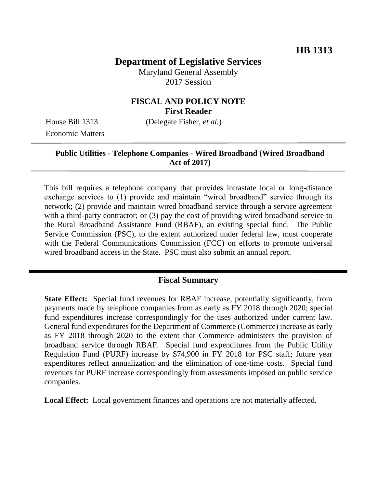# **Department of Legislative Services**

Maryland General Assembly 2017 Session

### **FISCAL AND POLICY NOTE First Reader**

Economic Matters

House Bill 1313 (Delegate Fisher, *et al.*)

#### **Public Utilities - Telephone Companies - Wired Broadband (Wired Broadband Act of 2017)**

This bill requires a telephone company that provides intrastate local or long-distance exchange services to (1) provide and maintain "wired broadband" service through its network; (2) provide and maintain wired broadband service through a service agreement with a third-party contractor; or (3) pay the cost of providing wired broadband service to the Rural Broadband Assistance Fund (RBAF), an existing special fund. The Public Service Commission (PSC), to the extent authorized under federal law, must cooperate with the Federal Communications Commission (FCC) on efforts to promote universal wired broadband access in the State. PSC must also submit an annual report.

## **Fiscal Summary**

**State Effect:** Special fund revenues for RBAF increase, potentially significantly, from payments made by telephone companies from as early as FY 2018 through 2020; special fund expenditures increase correspondingly for the uses authorized under current law. General fund expenditures for the Department of Commerce (Commerce) increase as early as FY 2018 through 2020 to the extent that Commerce administers the provision of broadband service through RBAF. Special fund expenditures from the Public Utility Regulation Fund (PURF) increase by \$74,900 in FY 2018 for PSC staff; future year expenditures reflect annualization and the elimination of one-time costs. Special fund revenues for PURF increase correspondingly from assessments imposed on public service companies.

**Local Effect:** Local government finances and operations are not materially affected.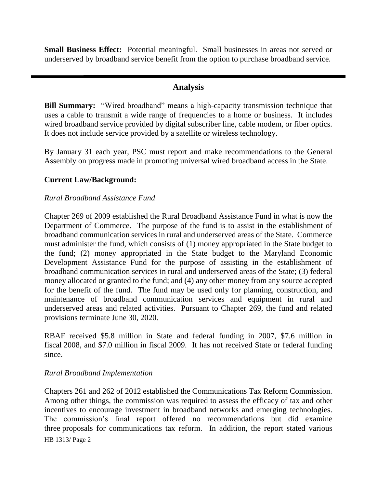**Small Business Effect:** Potential meaningful. Small businesses in areas not served or underserved by broadband service benefit from the option to purchase broadband service.

### **Analysis**

**Bill Summary:** "Wired broadband" means a high-capacity transmission technique that uses a cable to transmit a wide range of frequencies to a home or business. It includes wired broadband service provided by digital subscriber line, cable modem, or fiber optics. It does not include service provided by a satellite or wireless technology.

By January 31 each year, PSC must report and make recommendations to the General Assembly on progress made in promoting universal wired broadband access in the State.

#### **Current Law/Background:**

#### *Rural Broadband Assistance Fund*

Chapter 269 of 2009 established the Rural Broadband Assistance Fund in what is now the Department of Commerce. The purpose of the fund is to assist in the establishment of broadband communication services in rural and underserved areas of the State. Commerce must administer the fund, which consists of (1) money appropriated in the State budget to the fund; (2) money appropriated in the State budget to the Maryland Economic Development Assistance Fund for the purpose of assisting in the establishment of broadband communication services in rural and underserved areas of the State; (3) federal money allocated or granted to the fund; and (4) any other money from any source accepted for the benefit of the fund. The fund may be used only for planning, construction, and maintenance of broadband communication services and equipment in rural and underserved areas and related activities. Pursuant to Chapter 269, the fund and related provisions terminate June 30, 2020.

RBAF received \$5.8 million in State and federal funding in 2007, \$7.6 million in fiscal 2008, and \$7.0 million in fiscal 2009. It has not received State or federal funding since.

#### *Rural Broadband Implementation*

HB 1313/ Page 2 Chapters 261 and 262 of 2012 established the Communications Tax Reform Commission. Among other things, the commission was required to assess the efficacy of tax and other incentives to encourage investment in broadband networks and emerging technologies. The commission's final report offered no recommendations but did examine three proposals for communications tax reform. In addition, the report stated various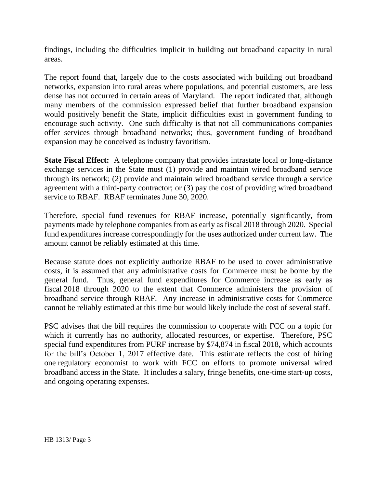findings, including the difficulties implicit in building out broadband capacity in rural areas.

The report found that, largely due to the costs associated with building out broadband networks, expansion into rural areas where populations, and potential customers, are less dense has not occurred in certain areas of Maryland. The report indicated that, although many members of the commission expressed belief that further broadband expansion would positively benefit the State, implicit difficulties exist in government funding to encourage such activity. One such difficulty is that not all communications companies offer services through broadband networks; thus, government funding of broadband expansion may be conceived as industry favoritism.

**State Fiscal Effect:** A telephone company that provides intrastate local or long-distance exchange services in the State must (1) provide and maintain wired broadband service through its network; (2) provide and maintain wired broadband service through a service agreement with a third-party contractor; or (3) pay the cost of providing wired broadband service to RBAF. RBAF terminates June 30, 2020.

Therefore, special fund revenues for RBAF increase, potentially significantly, from payments made by telephone companies from as early as fiscal 2018 through 2020. Special fund expenditures increase correspondingly for the uses authorized under current law. The amount cannot be reliably estimated at this time.

Because statute does not explicitly authorize RBAF to be used to cover administrative costs, it is assumed that any administrative costs for Commerce must be borne by the general fund. Thus, general fund expenditures for Commerce increase as early as fiscal 2018 through 2020 to the extent that Commerce administers the provision of broadband service through RBAF. Any increase in administrative costs for Commerce cannot be reliably estimated at this time but would likely include the cost of several staff.

PSC advises that the bill requires the commission to cooperate with FCC on a topic for which it currently has no authority, allocated resources, or expertise. Therefore, PSC special fund expenditures from PURF increase by \$74,874 in fiscal 2018, which accounts for the bill's October 1, 2017 effective date. This estimate reflects the cost of hiring one regulatory economist to work with FCC on efforts to promote universal wired broadband access in the State. It includes a salary, fringe benefits, one-time start-up costs, and ongoing operating expenses.